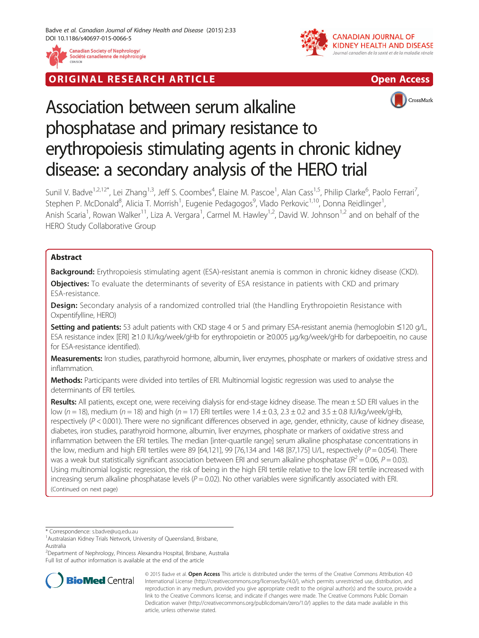

**RIGINAL RESEARCH ARTICLE CONSUMING ACCESS** 





# Association between serum alkaline phosphatase and primary resistance to erythropoiesis stimulating agents in chronic kidney disease: a secondary analysis of the HERO trial

Sunil V. Badve<sup>1,2,12\*</sup>, Lei Zhang<sup>1,3</sup>, Jeff S. Coombes<sup>4</sup>, Elaine M. Pascoe<sup>1</sup>, Alan Cass<sup>1,5</sup>, Philip Clarke<sup>6</sup>, Paolo Ferrari<sup>7</sup> , Stephen P. McDonald<sup>8</sup>, Alicia T. Morrish<sup>1</sup>, Eugenie Pedagogos<sup>9</sup>, Vlado Perkovic<sup>1,10</sup>, Donna Reidlinger<sup>1</sup> , Anish Scaria<sup>1</sup>, Rowan Walker<sup>11</sup>, Liza A. Vergara<sup>1</sup>, Carmel M. Hawley<sup>1,2</sup>, David W. Johnson<sup>1,2</sup> and on behalf of the HERO Study Collaborative Group

# Abstract

Background: Erythropoiesis stimulating agent (ESA)-resistant anemia is common in chronic kidney disease (CKD).

Objectives: To evaluate the determinants of severity of ESA resistance in patients with CKD and primary ESA-resistance.

**Design:** Secondary analysis of a randomized controlled trial (the Handling Erythropoietin Resistance with Oxpentifylline, HERO)

Setting and patients: 53 adult patients with CKD stage 4 or 5 and primary ESA-resistant anemia (hemoglobin ≤120 g/L, ESA resistance index [ERI] ≥1.0 IU/kg/week/gHb for erythropoietin or ≥0.005 μg/kg/week/gHb for darbepoeitin, no cause for ESA-resistance identified).

Measurements: Iron studies, parathyroid hormone, albumin, liver enzymes, phosphate or markers of oxidative stress and inflammation.

Methods: Participants were divided into tertiles of ERI. Multinomial logistic regression was used to analyse the determinants of ERI tertiles.

Results: All patients, except one, were receiving dialysis for end-stage kidney disease. The mean ± SD ERI values in the low ( $n = 18$ ), medium ( $n = 18$ ) and high ( $n = 17$ ) ERI tertiles were  $1.4 \pm 0.3$ ,  $2.3 \pm 0.2$  and  $3.5 \pm 0.8$  IU/kg/week/qHb, respectively  $(P < 0.001)$ . There were no significant differences observed in age, gender, ethnicity, cause of kidney disease, diabetes, iron studies, parathyroid hormone, albumin, liver enzymes, phosphate or markers of oxidative stress and inflammation between the ERI tertiles. The median [inter-quartile range] serum alkaline phosphatase concentrations in the low, medium and high ERI tertiles were 89 [64,121], 99 [76,134 and 148 [87,175] U/L, respectively ( $P = 0.054$ ). There was a weak but statistically significant association between ERI and serum alkaline phosphatase ( $R^2 = 0.06$ ,  $P = 0.03$ ). Using multinomial logistic regression, the risk of being in the high ERI tertile relative to the low ERI tertile increased with increasing serum alkaline phosphatase levels  $(P = 0.02)$ . No other variables were significantly associated with ERI. (Continued on next page)

\* Correspondence: [s.badve@uq.edu.au](mailto:s.badve@uq.edu.au) <sup>1</sup>

2 Department of Nephrology, Princess Alexandra Hospital, Brisbane, Australia Full list of author information is available at the end of the article



© 2015 Badve et al. Open Access This article is distributed under the terms of the Creative Commons Attribution 4.0 International License [\(http://creativecommons.org/licenses/by/4.0/\)](http://creativecommons.org/licenses/by/4.0/), which permits unrestricted use, distribution, and reproduction in any medium, provided you give appropriate credit to the original author(s) and the source, provide a link to the Creative Commons license, and indicate if changes were made. The Creative Commons Public Domain Dedication waiver ([http://creativecommons.org/publicdomain/zero/1.0/\)](http://creativecommons.org/publicdomain/zero/1.0/) applies to the data made available in this article, unless otherwise stated.

Australasian Kidney Trials Network, University of Queensland, Brisbane, Australia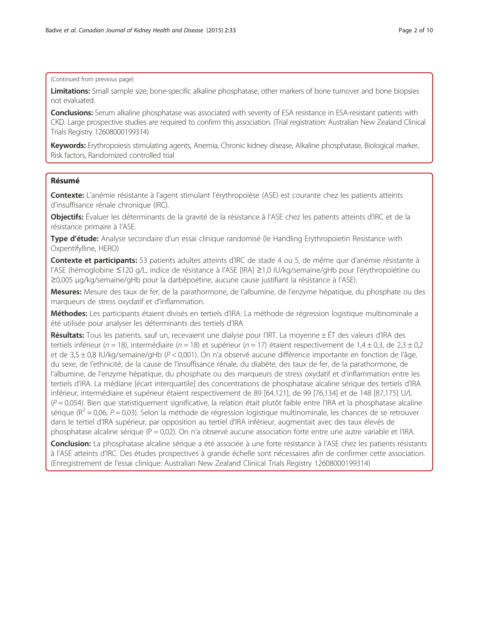# (Continued from previous page)

Limitations: Small sample size; bone-specific alkaline phosphatase, other markers of bone turnover and bone biopsies not evaluated.

Conclusions: Serum alkaline phosphatase was associated with severity of ESA resistance in ESA-resistant patients with CKD. Large prospective studies are required to confirm this association. (Trial registration: Australian New Zealand Clinical Trials Registry 12608000199314)

Keywords: Erythropoiesis stimulating agents, Anemia, Chronic kidney disease, Alkaline phosphatase, Biological marker, Risk factors, Randomized controlled trial

# Résumé

Contexte: L'anémie résistante à l'agent stimulant l'érythropoïèse (ASE) est courante chez les patients atteints d'insuffisance rénale chronique (IRC).

Objectifs: Évaluer les déterminants de la gravité de la résistance à l'ASE chez les patients atteints d'IRC et de la résistance primaire à l'ASE.

Type d'étude: Analyse secondaire d'un essai clinique randomisé (le Handling Erythropoietin Resistance with Oxpentifylline, HERO)

Contexte et participants: 53 patients adultes atteints d'IRC de stade 4 ou 5, de même que d'anémie résistante à l'ASE (hémoglobine ≤120 g/L, indice de résistance à l'ASE [IRA] ≥1,0 IU/kg/semaine/gHb pour l'érythropoïétine ou ≥0,005 μg/kg/semaine/gHb pour la darbépoétine, aucune cause justifiant la résistance à l'ASE).

Mesures: Mesure des taux de fer, de la parathormone, de l'albumine, de l'enzyme hépatique, du phosphate ou des marqueurs de stress oxydatif et d'inflammation.

Méthodes: Les participants étaient divisés en tertiels d'IRA. La méthode de régression logistique multinominale a été utilisée pour analyser les déterminants des tertiels d'IRA.

Résultats: Tous les patients, sauf un, recevaient une dialyse pour l'IRT. La moyenne ± ÉT des valeurs d'IRA des tertiels inférieur (n = 18), intermédiaire (n = 18) et supérieur (n = 17) étaient respectivement de 1,4 ± 0,3, de 2,3 ± 0,2 et de 3,5 ± 0,8 IU/kg/semaine/gHb (P < 0,001). On n'a observé aucune différence importante en fonction de l'âge, du sexe, de l'ethnicité, de la cause de l'insuffisance rénale, du diabète, des taux de fer, de la parathormone, de l'albumine, de l'enzyme hépatique, du phosphate ou des marqueurs de stress oxydatif et d'inflammation entre les tertiels d'IRA. La médiane [écart interquartile] des concentrations de phosphatase alcaline sérique des tertiels d'IRA inférieur, intermédiaire et supérieur étaient respectivement de 89 [64,121], de 99 [76,134] et de 148 [87,175] U/L  $(P = 0.054)$ . Bien que statistiquement significative, la relation était plutôt faible entre l'IRA et la phosphatase alcaline sérique ( $R^2$  = 0,06;  $P$  = 0,03). Selon la méthode de régression logistique multinominale, les chances de se retrouver dans le tertiel d'IRA supérieur, par opposition au tertiel d'IRA inférieur, augmentait avec des taux élevés de phosphatase alcaline sérique ( $P = 0.02$ ). On n'a observé aucune association forte entre une autre variable et l'IRA.

Conclusion: La phosphatase alcaline sérique a été associée à une forte résistance à l'ASE chez les patients résistants à l'ASE atteints d'IRC. Des études prospectives à grande échelle sont nécessaires afin de confirmer cette association. (Enregistrement de l'essai clinique: Australian New Zealand Clinical Trials Registry 12608000199314)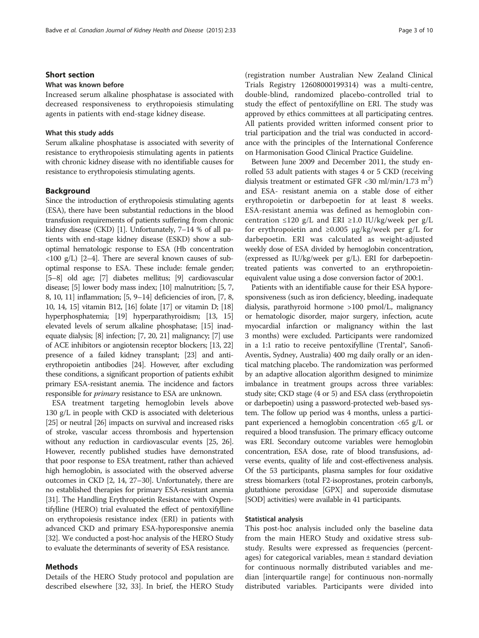# Short section

# What was known before

Increased serum alkaline phosphatase is associated with decreased responsiveness to erythropoiesis stimulating agents in patients with end-stage kidney disease.

## What this study adds

Serum alkaline phosphatase is associated with severity of resistance to erythropoiesis stimulating agents in patients with chronic kidney disease with no identifiable causes for resistance to erythropoiesis stimulating agents.

#### Background

Since the introduction of erythropoiesis stimulating agents (ESA), there have been substantial reductions in the blood transfusion requirements of patients suffering from chronic kidney disease (CKD) [\[1](#page-8-0)]. Unfortunately, 7–14 % of all patients with end-stage kidney disease (ESKD) show a suboptimal hematologic response to ESA (Hb concentration  $\langle 100 \text{ g/L} \rangle$  [\[2](#page-8-0)–[4\]](#page-8-0). There are several known causes of suboptimal response to ESA. These include: female gender; [[5](#page-8-0)–[8\]](#page-8-0) old age; [[7](#page-8-0)] diabetes mellitus; [[9](#page-8-0)] cardiovascular disease; [\[5\]](#page-8-0) lower body mass index; [\[10\]](#page-8-0) malnutrition; [\[5, 7](#page-8-0), [8](#page-8-0), [10, 11](#page-8-0)] inflammation; [\[5](#page-8-0), [9](#page-8-0)–[14](#page-8-0)] deficiencies of iron, [\[7, 8](#page-8-0), [10](#page-8-0), [14, 15\]](#page-8-0) vitamin B12, [\[16\]](#page-8-0) folate [\[17](#page-8-0)] or vitamin D; [\[18](#page-8-0)] hyperphosphatemia; [\[19](#page-8-0)] hyperparathyroidism; [\[13, 15](#page-8-0)] elevated levels of serum alkaline phosphatase; [\[15](#page-8-0)] inadequate dialysis; [\[8\]](#page-8-0) infection; [\[7](#page-8-0), [20, 21\]](#page-8-0) malignancy; [[7](#page-8-0)] use of ACE inhibitors or angiotensin receptor blockers; [[13](#page-8-0), [22](#page-8-0)] presence of a failed kidney transplant; [\[23\]](#page-8-0) and antierythropoietin antibodies [[24](#page-8-0)]. However, after excluding these conditions, a significant proportion of patients exhibit primary ESA-resistant anemia. The incidence and factors responsible for primary resistance to ESA are unknown.

ESA treatment targeting hemoglobin levels above 130 g/L in people with CKD is associated with deleterious [[25](#page-8-0)] or neutral [\[26\]](#page-8-0) impacts on survival and increased risks of stroke, vascular access thrombosis and hypertension without any reduction in cardiovascular events [[25](#page-8-0), [26](#page-8-0)]. However, recently published studies have demonstrated that poor response to ESA treatment, rather than achieved high hemoglobin, is associated with the observed adverse outcomes in CKD [[2, 14, 27](#page-8-0)–[30\]](#page-8-0). Unfortunately, there are no established therapies for primary ESA-resistant anemia [[31](#page-8-0)]. The Handling Erythropoietin Resistance with Oxpentifylline (HERO) trial evaluated the effect of pentoxifylline on erythropoiesis resistance index (ERI) in patients with advanced CKD and primary ESA-hyporesponsive anemia [[32](#page-8-0)]. We conducted a post-hoc analysis of the HERO Study to evaluate the determinants of severity of ESA resistance.

## Methods

Details of the HERO Study protocol and population are described elsewhere [[32](#page-8-0), [33](#page-9-0)]. In brief, the HERO Study

(registration number Australian New Zealand Clinical Trials Registry 12608000199314) was a multi-centre, double-blind, randomized placebo-controlled trial to study the effect of pentoxifylline on ERI. The study was approved by ethics committees at all participating centres. All patients provided written informed consent prior to trial participation and the trial was conducted in accordance with the principles of the International Conference on Harmonisation Good Clinical Practice Guideline.

Between June 2009 and December 2011, the study enrolled 53 adult patients with stages 4 or 5 CKD (receiving dialysis treatment or estimated GFR <30 ml/min/1.73 m<sup>2</sup>) and ESA- resistant anemia on a stable dose of either erythropoietin or darbepoetin for at least 8 weeks. ESA-resistant anemia was defined as hemoglobin concentration ≤120 g/L and ERI ≥1.0 IU/kg/week per g/L for erythropoietin and ≥0.005 μg/kg/week per g/L for darbepoetin. ERI was calculated as weight-adjusted weekly dose of ESA divided by hemoglobin concentration, (expressed as IU/kg/week per g/L). ERI for darbepoetintreated patients was converted to an erythropoietinequivalent value using a dose conversion factor of 200:1.

Patients with an identifiable cause for their ESA hyporesponsiveness (such as iron deficiency, bleeding, inadequate dialysis, parathyroid hormone >100 pmol/L, malignancy or hematologic disorder, major surgery, infection, acute myocardial infarction or malignancy within the last 3 months) were excluded. Participants were randomized in a 1:1 ratio to receive pentoxifylline (Trental®, Sanofi-Aventis, Sydney, Australia) 400 mg daily orally or an identical matching placebo. The randomization was performed by an adaptive allocation algorithm designed to minimize imbalance in treatment groups across three variables: study site; CKD stage (4 or 5) and ESA class (erythropoietin or darbepoetin) using a password-protected web-based system. The follow up period was 4 months, unless a participant experienced a hemoglobin concentration <65 g/L or required a blood transfusion. The primary efficacy outcome was ERI. Secondary outcome variables were hemoglobin concentration, ESA dose, rate of blood transfusions, adverse events, quality of life and cost-effectiveness analysis. Of the 53 participants, plasma samples for four oxidative stress biomarkers (total F2-isoprostanes, protein carbonyls, glutathione peroxidase [GPX] and superoxide dismutase [SOD] activities) were available in 41 participants.

## Statistical analysis

This post-hoc analysis included only the baseline data from the main HERO Study and oxidative stress substudy. Results were expressed as frequencies (percentages) for categorical variables, mean  $\pm$  standard deviation for continuous normally distributed variables and median [interquartile range] for continuous non-normally distributed variables. Participants were divided into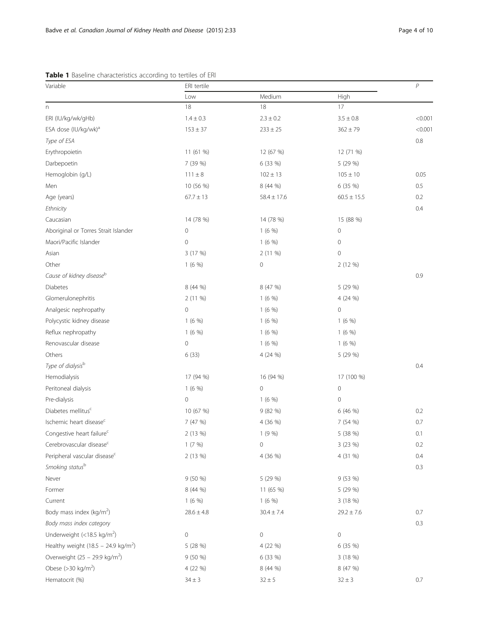<span id="page-3-0"></span>

| Medium<br>High<br>Low<br>18<br>17<br>18<br>$\boldsymbol{\mathsf{n}}$<br>ERI (IU/kg/wk/gHb)<br>$1.4 \pm 0.3$<br>$2.3 \pm 0.2$<br>$3.5\pm0.8$<br>< 0.001<br>ESA dose (IU/kg/wk) <sup>a</sup><br>$362 \pm 79$<br>< 0.001<br>$153 \pm 37$<br>$233 \pm 25$<br>Type of ESA<br>$0.8\,$<br>Erythropoietin<br>11 (61 %)<br>12 (67 %)<br>12 (71 %)<br>7 (39 %)<br>6 (33 %)<br>5 (29 %)<br>Darbepoetin<br>Hemoglobin (g/L)<br>$111 \pm 8$<br>$105 \pm 10$<br>0.05<br>$102 \pm 13$<br>0.5<br>Men<br>10 (56 %)<br>8 (44 %)<br>6 (35 %)<br>Age (years)<br>$67.7 \pm 13$<br>$60.5 \pm 15.5$<br>0.2<br>$58.4 \pm 17.6$<br>Ethnicity<br>0.4<br>Caucasian<br>14 (78 %)<br>14 (78 %)<br>15 (88 %)<br>Aboriginal or Torres Strait Islander<br>1(6%<br>$\mathsf{O}\xspace$<br>0<br>$\mathbf 0$<br>Maori/Pacific Islander<br>1(6%)<br>$\mathbf 0$<br>3 (17 %)<br>2 (11 %)<br>$\mathbf 0$<br>Asian<br>Other<br>1(6%<br>$\mathsf{O}\xspace$<br>2 (12 %)<br>Cause of kidney diseaseb<br>0.9<br><b>Diabetes</b><br>8 (44 %)<br>8 (47 %)<br>5 (29 %)<br>Glomerulonephritis<br>2 (11 %)<br>1(6%<br>4 (24 %)<br>$\mathbf 0$<br>$\mathbf 0$<br>Analgesic nephropathy<br>1(6%<br>Polycystic kidney disease<br>1(6%<br>1(6%<br>1(6%<br>Reflux nephropathy<br>1(6%<br>1(6%)<br>1(6%)<br>$\mathbf 0$<br>Renovascular disease<br>1(6%)<br>1(6%<br>6(33)<br>Others<br>4 (24 %)<br>5 (29 %)<br>Type of dialysisb<br>0.4<br>Hemodialysis<br>17 (94 %)<br>17 (100 %)<br>16 (94 %)<br>$\mathbf 0$<br>Peritoneal dialysis<br>1(6%<br>$\mathsf{O}\xspace$<br>Pre-dialysis<br>0<br>1(6%)<br>$\mathbf 0$<br>Diabetes mellitus <sup>c</sup><br>10 (67 %)<br>9 (82 %)<br>0.2<br>6 (46 %)<br>Ischemic heart disease <sup>c</sup><br>7 (47 %)<br>7 (54 %)<br>0.7<br>4 (36 %)<br>Congestive heart failure <sup>c</sup><br>1(9%<br>5 (38 %)<br>2 (13 %)<br>0.1<br>Cerebrovascular disease <sup>c</sup><br>$\mathsf{O}\xspace$<br>1(7%)<br>3 (23 %)<br>0.2<br>Peripheral vascular disease <sup>c</sup><br>2 (13 %)<br>4 (36 %)<br>4 (31 %)<br>0.4<br>Smoking statusb<br>0.3<br>Never<br>9 (50 %)<br>9 (53 %)<br>5 (29 %)<br>Former<br>8 (44 %)<br>11 (65 %)<br>5 (29 %)<br>Current<br>1(6%<br>1(6%<br>3 (18 %)<br>Body mass index (kg/m <sup>2</sup> )<br>0.7<br>$28.6 \pm 4.8$<br>$30.4 \pm 7.4$<br>$29.2 \pm 7.6$<br>Body mass index category<br>0.3<br>Underweight (<18.5 kg/m <sup>2</sup> )<br>$\mathbf 0$<br>0<br>0<br>Healthy weight (18.5 - 24.9 kg/m <sup>2</sup> )<br>5 (28 %)<br>6 (35 %)<br>4 (22 %)<br>Overweight $(25 - 29.9 \text{ kg/m}^2)$<br>9(50%<br>6 (33 %)<br>3 (18 %)<br>Obese ( $>$ 30 kg/m <sup>2</sup> )<br>4 (22 %)<br>8 (44 %)<br>8 (47 %)<br>Hematocrit (%)<br>0.7<br>$34 \pm 3$<br>$32 \pm 5$<br>$32 \pm 3$ | Variable | ERI tertile |  |  | $\,P$ |
|----------------------------------------------------------------------------------------------------------------------------------------------------------------------------------------------------------------------------------------------------------------------------------------------------------------------------------------------------------------------------------------------------------------------------------------------------------------------------------------------------------------------------------------------------------------------------------------------------------------------------------------------------------------------------------------------------------------------------------------------------------------------------------------------------------------------------------------------------------------------------------------------------------------------------------------------------------------------------------------------------------------------------------------------------------------------------------------------------------------------------------------------------------------------------------------------------------------------------------------------------------------------------------------------------------------------------------------------------------------------------------------------------------------------------------------------------------------------------------------------------------------------------------------------------------------------------------------------------------------------------------------------------------------------------------------------------------------------------------------------------------------------------------------------------------------------------------------------------------------------------------------------------------------------------------------------------------------------------------------------------------------------------------------------------------------------------------------------------------------------------------------------------------------------------------------------------------------------------------------------------------------------------------------------------------------------------------------------------------------------------------------------------------------------------------------------------------------------------------------------------------------------------------------------------------------------------------------------------------------------------------------------------------------------------------------|----------|-------------|--|--|-------|
|                                                                                                                                                                                                                                                                                                                                                                                                                                                                                                                                                                                                                                                                                                                                                                                                                                                                                                                                                                                                                                                                                                                                                                                                                                                                                                                                                                                                                                                                                                                                                                                                                                                                                                                                                                                                                                                                                                                                                                                                                                                                                                                                                                                                                                                                                                                                                                                                                                                                                                                                                                                                                                                                                        |          |             |  |  |       |
|                                                                                                                                                                                                                                                                                                                                                                                                                                                                                                                                                                                                                                                                                                                                                                                                                                                                                                                                                                                                                                                                                                                                                                                                                                                                                                                                                                                                                                                                                                                                                                                                                                                                                                                                                                                                                                                                                                                                                                                                                                                                                                                                                                                                                                                                                                                                                                                                                                                                                                                                                                                                                                                                                        |          |             |  |  |       |
|                                                                                                                                                                                                                                                                                                                                                                                                                                                                                                                                                                                                                                                                                                                                                                                                                                                                                                                                                                                                                                                                                                                                                                                                                                                                                                                                                                                                                                                                                                                                                                                                                                                                                                                                                                                                                                                                                                                                                                                                                                                                                                                                                                                                                                                                                                                                                                                                                                                                                                                                                                                                                                                                                        |          |             |  |  |       |
|                                                                                                                                                                                                                                                                                                                                                                                                                                                                                                                                                                                                                                                                                                                                                                                                                                                                                                                                                                                                                                                                                                                                                                                                                                                                                                                                                                                                                                                                                                                                                                                                                                                                                                                                                                                                                                                                                                                                                                                                                                                                                                                                                                                                                                                                                                                                                                                                                                                                                                                                                                                                                                                                                        |          |             |  |  |       |
|                                                                                                                                                                                                                                                                                                                                                                                                                                                                                                                                                                                                                                                                                                                                                                                                                                                                                                                                                                                                                                                                                                                                                                                                                                                                                                                                                                                                                                                                                                                                                                                                                                                                                                                                                                                                                                                                                                                                                                                                                                                                                                                                                                                                                                                                                                                                                                                                                                                                                                                                                                                                                                                                                        |          |             |  |  |       |
|                                                                                                                                                                                                                                                                                                                                                                                                                                                                                                                                                                                                                                                                                                                                                                                                                                                                                                                                                                                                                                                                                                                                                                                                                                                                                                                                                                                                                                                                                                                                                                                                                                                                                                                                                                                                                                                                                                                                                                                                                                                                                                                                                                                                                                                                                                                                                                                                                                                                                                                                                                                                                                                                                        |          |             |  |  |       |
|                                                                                                                                                                                                                                                                                                                                                                                                                                                                                                                                                                                                                                                                                                                                                                                                                                                                                                                                                                                                                                                                                                                                                                                                                                                                                                                                                                                                                                                                                                                                                                                                                                                                                                                                                                                                                                                                                                                                                                                                                                                                                                                                                                                                                                                                                                                                                                                                                                                                                                                                                                                                                                                                                        |          |             |  |  |       |
|                                                                                                                                                                                                                                                                                                                                                                                                                                                                                                                                                                                                                                                                                                                                                                                                                                                                                                                                                                                                                                                                                                                                                                                                                                                                                                                                                                                                                                                                                                                                                                                                                                                                                                                                                                                                                                                                                                                                                                                                                                                                                                                                                                                                                                                                                                                                                                                                                                                                                                                                                                                                                                                                                        |          |             |  |  |       |
|                                                                                                                                                                                                                                                                                                                                                                                                                                                                                                                                                                                                                                                                                                                                                                                                                                                                                                                                                                                                                                                                                                                                                                                                                                                                                                                                                                                                                                                                                                                                                                                                                                                                                                                                                                                                                                                                                                                                                                                                                                                                                                                                                                                                                                                                                                                                                                                                                                                                                                                                                                                                                                                                                        |          |             |  |  |       |
|                                                                                                                                                                                                                                                                                                                                                                                                                                                                                                                                                                                                                                                                                                                                                                                                                                                                                                                                                                                                                                                                                                                                                                                                                                                                                                                                                                                                                                                                                                                                                                                                                                                                                                                                                                                                                                                                                                                                                                                                                                                                                                                                                                                                                                                                                                                                                                                                                                                                                                                                                                                                                                                                                        |          |             |  |  |       |
|                                                                                                                                                                                                                                                                                                                                                                                                                                                                                                                                                                                                                                                                                                                                                                                                                                                                                                                                                                                                                                                                                                                                                                                                                                                                                                                                                                                                                                                                                                                                                                                                                                                                                                                                                                                                                                                                                                                                                                                                                                                                                                                                                                                                                                                                                                                                                                                                                                                                                                                                                                                                                                                                                        |          |             |  |  |       |
|                                                                                                                                                                                                                                                                                                                                                                                                                                                                                                                                                                                                                                                                                                                                                                                                                                                                                                                                                                                                                                                                                                                                                                                                                                                                                                                                                                                                                                                                                                                                                                                                                                                                                                                                                                                                                                                                                                                                                                                                                                                                                                                                                                                                                                                                                                                                                                                                                                                                                                                                                                                                                                                                                        |          |             |  |  |       |
|                                                                                                                                                                                                                                                                                                                                                                                                                                                                                                                                                                                                                                                                                                                                                                                                                                                                                                                                                                                                                                                                                                                                                                                                                                                                                                                                                                                                                                                                                                                                                                                                                                                                                                                                                                                                                                                                                                                                                                                                                                                                                                                                                                                                                                                                                                                                                                                                                                                                                                                                                                                                                                                                                        |          |             |  |  |       |
|                                                                                                                                                                                                                                                                                                                                                                                                                                                                                                                                                                                                                                                                                                                                                                                                                                                                                                                                                                                                                                                                                                                                                                                                                                                                                                                                                                                                                                                                                                                                                                                                                                                                                                                                                                                                                                                                                                                                                                                                                                                                                                                                                                                                                                                                                                                                                                                                                                                                                                                                                                                                                                                                                        |          |             |  |  |       |
|                                                                                                                                                                                                                                                                                                                                                                                                                                                                                                                                                                                                                                                                                                                                                                                                                                                                                                                                                                                                                                                                                                                                                                                                                                                                                                                                                                                                                                                                                                                                                                                                                                                                                                                                                                                                                                                                                                                                                                                                                                                                                                                                                                                                                                                                                                                                                                                                                                                                                                                                                                                                                                                                                        |          |             |  |  |       |
|                                                                                                                                                                                                                                                                                                                                                                                                                                                                                                                                                                                                                                                                                                                                                                                                                                                                                                                                                                                                                                                                                                                                                                                                                                                                                                                                                                                                                                                                                                                                                                                                                                                                                                                                                                                                                                                                                                                                                                                                                                                                                                                                                                                                                                                                                                                                                                                                                                                                                                                                                                                                                                                                                        |          |             |  |  |       |
|                                                                                                                                                                                                                                                                                                                                                                                                                                                                                                                                                                                                                                                                                                                                                                                                                                                                                                                                                                                                                                                                                                                                                                                                                                                                                                                                                                                                                                                                                                                                                                                                                                                                                                                                                                                                                                                                                                                                                                                                                                                                                                                                                                                                                                                                                                                                                                                                                                                                                                                                                                                                                                                                                        |          |             |  |  |       |
|                                                                                                                                                                                                                                                                                                                                                                                                                                                                                                                                                                                                                                                                                                                                                                                                                                                                                                                                                                                                                                                                                                                                                                                                                                                                                                                                                                                                                                                                                                                                                                                                                                                                                                                                                                                                                                                                                                                                                                                                                                                                                                                                                                                                                                                                                                                                                                                                                                                                                                                                                                                                                                                                                        |          |             |  |  |       |
|                                                                                                                                                                                                                                                                                                                                                                                                                                                                                                                                                                                                                                                                                                                                                                                                                                                                                                                                                                                                                                                                                                                                                                                                                                                                                                                                                                                                                                                                                                                                                                                                                                                                                                                                                                                                                                                                                                                                                                                                                                                                                                                                                                                                                                                                                                                                                                                                                                                                                                                                                                                                                                                                                        |          |             |  |  |       |
|                                                                                                                                                                                                                                                                                                                                                                                                                                                                                                                                                                                                                                                                                                                                                                                                                                                                                                                                                                                                                                                                                                                                                                                                                                                                                                                                                                                                                                                                                                                                                                                                                                                                                                                                                                                                                                                                                                                                                                                                                                                                                                                                                                                                                                                                                                                                                                                                                                                                                                                                                                                                                                                                                        |          |             |  |  |       |
|                                                                                                                                                                                                                                                                                                                                                                                                                                                                                                                                                                                                                                                                                                                                                                                                                                                                                                                                                                                                                                                                                                                                                                                                                                                                                                                                                                                                                                                                                                                                                                                                                                                                                                                                                                                                                                                                                                                                                                                                                                                                                                                                                                                                                                                                                                                                                                                                                                                                                                                                                                                                                                                                                        |          |             |  |  |       |
|                                                                                                                                                                                                                                                                                                                                                                                                                                                                                                                                                                                                                                                                                                                                                                                                                                                                                                                                                                                                                                                                                                                                                                                                                                                                                                                                                                                                                                                                                                                                                                                                                                                                                                                                                                                                                                                                                                                                                                                                                                                                                                                                                                                                                                                                                                                                                                                                                                                                                                                                                                                                                                                                                        |          |             |  |  |       |
|                                                                                                                                                                                                                                                                                                                                                                                                                                                                                                                                                                                                                                                                                                                                                                                                                                                                                                                                                                                                                                                                                                                                                                                                                                                                                                                                                                                                                                                                                                                                                                                                                                                                                                                                                                                                                                                                                                                                                                                                                                                                                                                                                                                                                                                                                                                                                                                                                                                                                                                                                                                                                                                                                        |          |             |  |  |       |
|                                                                                                                                                                                                                                                                                                                                                                                                                                                                                                                                                                                                                                                                                                                                                                                                                                                                                                                                                                                                                                                                                                                                                                                                                                                                                                                                                                                                                                                                                                                                                                                                                                                                                                                                                                                                                                                                                                                                                                                                                                                                                                                                                                                                                                                                                                                                                                                                                                                                                                                                                                                                                                                                                        |          |             |  |  |       |
|                                                                                                                                                                                                                                                                                                                                                                                                                                                                                                                                                                                                                                                                                                                                                                                                                                                                                                                                                                                                                                                                                                                                                                                                                                                                                                                                                                                                                                                                                                                                                                                                                                                                                                                                                                                                                                                                                                                                                                                                                                                                                                                                                                                                                                                                                                                                                                                                                                                                                                                                                                                                                                                                                        |          |             |  |  |       |
|                                                                                                                                                                                                                                                                                                                                                                                                                                                                                                                                                                                                                                                                                                                                                                                                                                                                                                                                                                                                                                                                                                                                                                                                                                                                                                                                                                                                                                                                                                                                                                                                                                                                                                                                                                                                                                                                                                                                                                                                                                                                                                                                                                                                                                                                                                                                                                                                                                                                                                                                                                                                                                                                                        |          |             |  |  |       |
|                                                                                                                                                                                                                                                                                                                                                                                                                                                                                                                                                                                                                                                                                                                                                                                                                                                                                                                                                                                                                                                                                                                                                                                                                                                                                                                                                                                                                                                                                                                                                                                                                                                                                                                                                                                                                                                                                                                                                                                                                                                                                                                                                                                                                                                                                                                                                                                                                                                                                                                                                                                                                                                                                        |          |             |  |  |       |
|                                                                                                                                                                                                                                                                                                                                                                                                                                                                                                                                                                                                                                                                                                                                                                                                                                                                                                                                                                                                                                                                                                                                                                                                                                                                                                                                                                                                                                                                                                                                                                                                                                                                                                                                                                                                                                                                                                                                                                                                                                                                                                                                                                                                                                                                                                                                                                                                                                                                                                                                                                                                                                                                                        |          |             |  |  |       |
|                                                                                                                                                                                                                                                                                                                                                                                                                                                                                                                                                                                                                                                                                                                                                                                                                                                                                                                                                                                                                                                                                                                                                                                                                                                                                                                                                                                                                                                                                                                                                                                                                                                                                                                                                                                                                                                                                                                                                                                                                                                                                                                                                                                                                                                                                                                                                                                                                                                                                                                                                                                                                                                                                        |          |             |  |  |       |
|                                                                                                                                                                                                                                                                                                                                                                                                                                                                                                                                                                                                                                                                                                                                                                                                                                                                                                                                                                                                                                                                                                                                                                                                                                                                                                                                                                                                                                                                                                                                                                                                                                                                                                                                                                                                                                                                                                                                                                                                                                                                                                                                                                                                                                                                                                                                                                                                                                                                                                                                                                                                                                                                                        |          |             |  |  |       |
|                                                                                                                                                                                                                                                                                                                                                                                                                                                                                                                                                                                                                                                                                                                                                                                                                                                                                                                                                                                                                                                                                                                                                                                                                                                                                                                                                                                                                                                                                                                                                                                                                                                                                                                                                                                                                                                                                                                                                                                                                                                                                                                                                                                                                                                                                                                                                                                                                                                                                                                                                                                                                                                                                        |          |             |  |  |       |
|                                                                                                                                                                                                                                                                                                                                                                                                                                                                                                                                                                                                                                                                                                                                                                                                                                                                                                                                                                                                                                                                                                                                                                                                                                                                                                                                                                                                                                                                                                                                                                                                                                                                                                                                                                                                                                                                                                                                                                                                                                                                                                                                                                                                                                                                                                                                                                                                                                                                                                                                                                                                                                                                                        |          |             |  |  |       |
|                                                                                                                                                                                                                                                                                                                                                                                                                                                                                                                                                                                                                                                                                                                                                                                                                                                                                                                                                                                                                                                                                                                                                                                                                                                                                                                                                                                                                                                                                                                                                                                                                                                                                                                                                                                                                                                                                                                                                                                                                                                                                                                                                                                                                                                                                                                                                                                                                                                                                                                                                                                                                                                                                        |          |             |  |  |       |
|                                                                                                                                                                                                                                                                                                                                                                                                                                                                                                                                                                                                                                                                                                                                                                                                                                                                                                                                                                                                                                                                                                                                                                                                                                                                                                                                                                                                                                                                                                                                                                                                                                                                                                                                                                                                                                                                                                                                                                                                                                                                                                                                                                                                                                                                                                                                                                                                                                                                                                                                                                                                                                                                                        |          |             |  |  |       |
|                                                                                                                                                                                                                                                                                                                                                                                                                                                                                                                                                                                                                                                                                                                                                                                                                                                                                                                                                                                                                                                                                                                                                                                                                                                                                                                                                                                                                                                                                                                                                                                                                                                                                                                                                                                                                                                                                                                                                                                                                                                                                                                                                                                                                                                                                                                                                                                                                                                                                                                                                                                                                                                                                        |          |             |  |  |       |
|                                                                                                                                                                                                                                                                                                                                                                                                                                                                                                                                                                                                                                                                                                                                                                                                                                                                                                                                                                                                                                                                                                                                                                                                                                                                                                                                                                                                                                                                                                                                                                                                                                                                                                                                                                                                                                                                                                                                                                                                                                                                                                                                                                                                                                                                                                                                                                                                                                                                                                                                                                                                                                                                                        |          |             |  |  |       |
|                                                                                                                                                                                                                                                                                                                                                                                                                                                                                                                                                                                                                                                                                                                                                                                                                                                                                                                                                                                                                                                                                                                                                                                                                                                                                                                                                                                                                                                                                                                                                                                                                                                                                                                                                                                                                                                                                                                                                                                                                                                                                                                                                                                                                                                                                                                                                                                                                                                                                                                                                                                                                                                                                        |          |             |  |  |       |
|                                                                                                                                                                                                                                                                                                                                                                                                                                                                                                                                                                                                                                                                                                                                                                                                                                                                                                                                                                                                                                                                                                                                                                                                                                                                                                                                                                                                                                                                                                                                                                                                                                                                                                                                                                                                                                                                                                                                                                                                                                                                                                                                                                                                                                                                                                                                                                                                                                                                                                                                                                                                                                                                                        |          |             |  |  |       |
|                                                                                                                                                                                                                                                                                                                                                                                                                                                                                                                                                                                                                                                                                                                                                                                                                                                                                                                                                                                                                                                                                                                                                                                                                                                                                                                                                                                                                                                                                                                                                                                                                                                                                                                                                                                                                                                                                                                                                                                                                                                                                                                                                                                                                                                                                                                                                                                                                                                                                                                                                                                                                                                                                        |          |             |  |  |       |
|                                                                                                                                                                                                                                                                                                                                                                                                                                                                                                                                                                                                                                                                                                                                                                                                                                                                                                                                                                                                                                                                                                                                                                                                                                                                                                                                                                                                                                                                                                                                                                                                                                                                                                                                                                                                                                                                                                                                                                                                                                                                                                                                                                                                                                                                                                                                                                                                                                                                                                                                                                                                                                                                                        |          |             |  |  |       |
|                                                                                                                                                                                                                                                                                                                                                                                                                                                                                                                                                                                                                                                                                                                                                                                                                                                                                                                                                                                                                                                                                                                                                                                                                                                                                                                                                                                                                                                                                                                                                                                                                                                                                                                                                                                                                                                                                                                                                                                                                                                                                                                                                                                                                                                                                                                                                                                                                                                                                                                                                                                                                                                                                        |          |             |  |  |       |
|                                                                                                                                                                                                                                                                                                                                                                                                                                                                                                                                                                                                                                                                                                                                                                                                                                                                                                                                                                                                                                                                                                                                                                                                                                                                                                                                                                                                                                                                                                                                                                                                                                                                                                                                                                                                                                                                                                                                                                                                                                                                                                                                                                                                                                                                                                                                                                                                                                                                                                                                                                                                                                                                                        |          |             |  |  |       |
|                                                                                                                                                                                                                                                                                                                                                                                                                                                                                                                                                                                                                                                                                                                                                                                                                                                                                                                                                                                                                                                                                                                                                                                                                                                                                                                                                                                                                                                                                                                                                                                                                                                                                                                                                                                                                                                                                                                                                                                                                                                                                                                                                                                                                                                                                                                                                                                                                                                                                                                                                                                                                                                                                        |          |             |  |  |       |
|                                                                                                                                                                                                                                                                                                                                                                                                                                                                                                                                                                                                                                                                                                                                                                                                                                                                                                                                                                                                                                                                                                                                                                                                                                                                                                                                                                                                                                                                                                                                                                                                                                                                                                                                                                                                                                                                                                                                                                                                                                                                                                                                                                                                                                                                                                                                                                                                                                                                                                                                                                                                                                                                                        |          |             |  |  |       |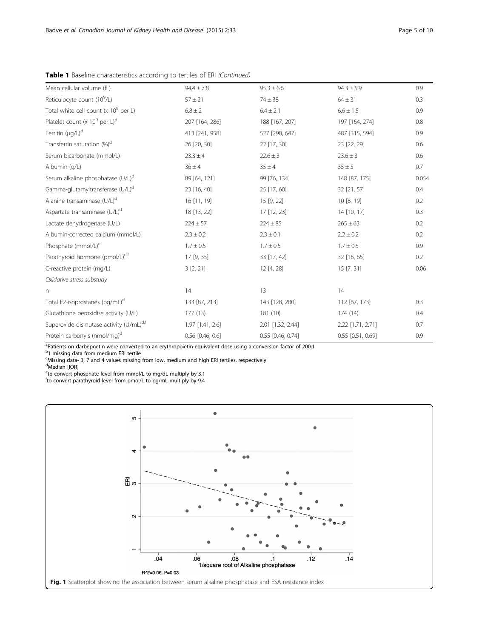| Mean cellular volume (fL)                     | $94.4 \pm 7.8$     | $95.3 \pm 6.6$    | $94.3 \pm 5.9$      | 0.9   |
|-----------------------------------------------|--------------------|-------------------|---------------------|-------|
| Reticulocyte count (10 <sup>9</sup> /L)       | $57 \pm 21$        | $74 \pm 38$       | $64 \pm 31$         | 0.3   |
| Total white cell count (x $10^9$ per L)       | $6.8 \pm 2$        | $6.4 \pm 2.1$     | $6.6 \pm 1.5$       | 0.9   |
| Platelet count (x $10^9$ per L) <sup>d</sup>  | 207 [164, 286]     | 188 [167, 207]    | 197 [164, 274]      | 0.8   |
| Ferritin (µg/L) <sup>d</sup>                  | 413 [241, 958]     | 527 [298, 647]    | 487 [315, 594]      | 0.9   |
| Transferrin saturation (%) <sup>d</sup>       | 26 [20, 30]        | 22 [17, 30]       | 23 [22, 29]         | 0.6   |
| Serum bicarbonate (mmol/L)                    | $23.3 \pm 4$       | $22.6 \pm 3$      | $23.6 \pm 3$        | 0.6   |
| Albumin (q/L)                                 | $36 \pm 4$         | $35 \pm 4$        | $35 \pm 5$          | 0.7   |
| Serum alkaline phosphatase (U/L) <sup>d</sup> | 89 [64, 121]       | 99 [76, 134]      | 148 [87, 175]       | 0.054 |
| Gamma-glutamyltransferase (U/L) <sup>d</sup>  | 23 [16, 40]        | 25 [17, 60]       | 32 [21, 57]         | 0.4   |
| Alanine transaminase (U/L) <sup>d</sup>       | 16 [11, 19]        | 15 [9, 22]        | 10 [8, 19]          | 0.2   |
| Aspartate transaminase (U/L) <sup>d</sup>     | 18 [13, 22]        | 17 [12, 23]       | 14 [10, 17]         | 0.3   |
| Lactate dehydrogenase (U/L)                   | $224 \pm 57$       | $224 \pm 85$      | $265 \pm 63$        | 0.2   |
| Albumin-corrected calcium (mmol/L)            | $2.3 \pm 0.2$      | $2.3 \pm 0.1$     | $2.2 \pm 0.2$       | 0.2   |
| Phosphate (mmol/L) <sup>e</sup>               | $1.7 \pm 0.5$      | $1.7 \pm 0.5$     | $1.7 \pm 0.5$       | 0.9   |
| Parathyroid hormone (pmol/L) <sup>d,f</sup>   | 17 [9, 35]         | 33 [17, 42]       | 32 [16, 65]         | 0.2   |
| C-reactive protein (mg/L)                     | 3[2, 21]           | 12 [4, 28]        | 15 [7, 31]          | 0.06  |
| Oxidative stress substudy                     |                    |                   |                     |       |
| n.                                            | 14                 | 13                | 14                  |       |
| Total F2-isoprostanes (pg/mL) <sup>d</sup>    | 133 [87, 213]      | 143 [128, 200]    | 112 [67, 173]       | 0.3   |
| Glutathione peroxidise activity (U/L)         | 177(13)            | 181 (10)          | 174 (14)            | 0.4   |
| Superoxide dismutase activity (U/mL)d,f       | 1.97 [1.41, 2.6]   | 2.01 [1.32, 2.44] | 2.22 [1.71, 2.71]   | 0.7   |
| Protein carbonyls (nmol/mg) <sup>d</sup>      | $0.56$ [0.46, 0.6] | 0.55 [0.46, 0.74] | $0.55$ [0.51, 0.69] | 0.9   |
|                                               |                    |                   |                     |       |

<span id="page-4-0"></span>Table 1 Baseline characteristics according to tertiles of ERI (Continued)

<sup>a</sup>Patients on darbepoetin were converted to an erythropoietin-equivalent dose using a conversion factor of 200:1

<sup>b</sup>1 missing data from medium ERI tertile

Missing data- 3, 7 and 4 values missing from low, medium and high ERI tertiles, respectively

<sup>d</sup>Median [IQR]

<sup>e</sup>to convert phosphate level from mmol/L to mg/dL multiply by 3.1

f to convert parathyroid level from pmol/L to pg/mL multiply by 9.4

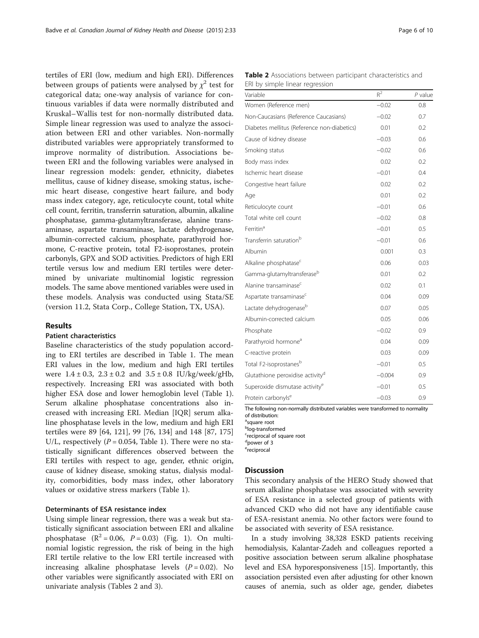tertiles of ERI (low, medium and high ERI). Differences between groups of patients were analysed by  $\chi^2$  test for categorical data; one-way analysis of variance for continuous variables if data were normally distributed and Kruskal–Wallis test for non-normally distributed data. Simple linear regression was used to analyze the association between ERI and other variables. Non-normally distributed variables were appropriately transformed to improve normality of distribution. Associations between ERI and the following variables were analysed in linear regression models: gender, ethnicity, diabetes mellitus, cause of kidney disease, smoking status, ischemic heart disease, congestive heart failure, and body mass index category, age, reticulocyte count, total white cell count, ferritin, transferrin saturation, albumin, alkaline phosphatase, gamma-glutamyltransferase, alanine transaminase, aspartate transaminase, lactate dehydrogenase, albumin-corrected calcium, phosphate, parathyroid hormone, C-reactive protein, total F2-isoprostanes, protein carbonyls, GPX and SOD activities. Predictors of high ERI tertile versus low and medium ERI tertiles were determined by univariate multinomial logistic regression models. The same above mentioned variables were used in these models. Analysis was conducted using Stata/SE (version 11.2, Stata Corp., College Station, TX, USA).

## Results

## Patient characteristics

Baseline characteristics of the study population according to ERI tertiles are described in Table [1](#page-3-0). The mean ERI values in the low, medium and high ERI tertiles were  $1.4 \pm 0.3$ ,  $2.3 \pm 0.2$  and  $3.5 \pm 0.8$  IU/kg/week/gHb, respectively. Increasing ERI was associated with both higher ESA dose and lower hemoglobin level (Table [1](#page-3-0)). Serum alkaline phosphatase concentrations also increased with increasing ERI. Median [IQR] serum alkaline phosphatase levels in the low, medium and high ERI tertiles were 89 [64, 121], 99 [76, 134] and 148 [87, 175] U/L, respectively ( $P = 0.054$ , Table [1\)](#page-3-0). There were no statistically significant differences observed between the ERI tertiles with respect to age, gender, ethnic origin, cause of kidney disease, smoking status, dialysis modality, comorbidities, body mass index, other laboratory values or oxidative stress markers (Table [1\)](#page-3-0).

## Determinants of ESA resistance index

Using simple linear regression, there was a weak but statistically significant association between ERI and alkaline phosphatase  $(R^2 = 0.06, P = 0.03)$  (Fig. [1](#page-4-0)). On multinomial logistic regression, the risk of being in the high ERI tertile relative to the low ERI tertile increased with increasing alkaline phosphatase levels  $(P = 0.02)$ . No other variables were significantly associated with ERI on univariate analysis (Tables 2 and [3](#page-6-0)).

Table 2 Associations between participant characteristics and ERI by simple linear regression

| Variable                                     | $R^2$    | $P$ value |
|----------------------------------------------|----------|-----------|
| Women (Reference men)                        | $-0.02$  | 0.8       |
| Non-Caucasians (Reference Caucasians)        | $-0.02$  | 0.7       |
| Diabetes mellitus (Reference non-diabetics)  | 0.01     | 0.2       |
| Cause of kidney disease                      | $-0.03$  | 0.6       |
| Smoking status                               | $-0.02$  | 0.6       |
| Body mass index                              | 0.02     | 0.2       |
| Ischemic heart disease                       | $-0.01$  | 0.4       |
| Congestive heart failure                     | 0.02     | 0.2       |
| Age                                          | 0.01     | 0.2       |
| Reticulocyte count                           | $-0.01$  | 0.6       |
| Total white cell count                       | $-0.02$  | 0.8       |
| Ferritin <sup>a</sup>                        | $-0.01$  | 0.5       |
| Transferrin saturation <sup>b</sup>          | $-0.01$  | 0.6       |
| Albumin                                      | 0.001    | 0.3       |
| Alkaline phosphatase <sup>c</sup>            | 0.06     | 0.03      |
| Gamma-glutamyltransferase <sup>b</sup>       | 0.01     | 0.2       |
| Alanine transaminase <sup>c</sup>            | 0.02     | 0.1       |
| Aspartate transaminase <sup>c</sup>          | 0.04     | 0.09      |
| Lactate dehydrogenase <sup>b</sup>           | 0.07     | 0.05      |
| Albumin-corrected calcium                    | 0.05     | 0.06      |
| Phosphate                                    | $-0.02$  | 0.9       |
| Parathyroid hormone <sup>a</sup>             | 0.04     | 0.09      |
| C-reactive protein                           | 0.03     | 0.09      |
| Total F2-isoprostanes <sup>b</sup>           | $-0.01$  | 0.5       |
| Glutathione peroxidise activity <sup>d</sup> | $-0.004$ | 0.9       |
| Superoxide dismutase activity <sup>e</sup>   | $-0.01$  | 0.5       |
| Protein carbonyls <sup>e</sup>               | $-0.03$  | 0.9       |

The following non-normally distributed variables were transformed to normality of distribution:

<sup>a</sup>square root

b log-transformed

<sup>c</sup>reciprocal of square root

d power of 3

ereciprocal

### **Discussion**

This secondary analysis of the HERO Study showed that serum alkaline phosphatase was associated with severity of ESA resistance in a selected group of patients with advanced CKD who did not have any identifiable cause of ESA-resistant anemia. No other factors were found to be associated with severity of ESA resistance.

In a study involving 38,328 ESKD patients receiving hemodialysis, Kalantar-Zadeh and colleagues reported a positive association between serum alkaline phosphatase level and ESA hyporesponsiveness [\[15\]](#page-8-0). Importantly, this association persisted even after adjusting for other known causes of anemia, such as older age, gender, diabetes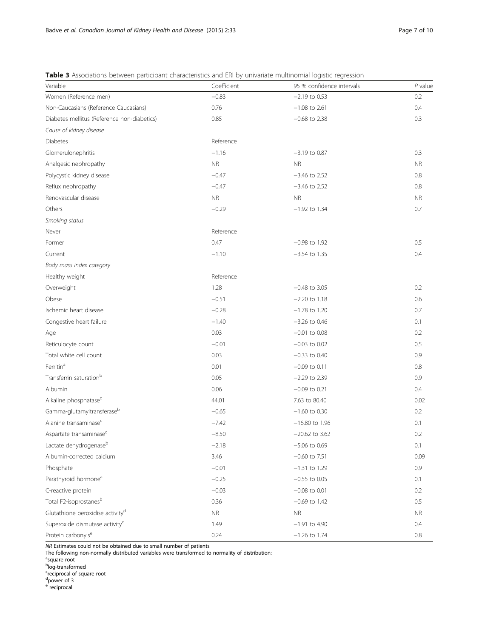# <span id="page-6-0"></span>Table 3 Associations between participant characteristics and ERI by univariate multinomial logistic regression

| Variable                                     | Coefficient | 95 % confidence intervals | $P$ value |
|----------------------------------------------|-------------|---------------------------|-----------|
| Women (Reference men)                        | $-0.83$     | $-2.19$ to 0.53           | 0.2       |
| Non-Caucasians (Reference Caucasians)        | 0.76        | $-1.08$ to 2.61           | 0.4       |
| Diabetes mellitus (Reference non-diabetics)  | 0.85        | $-0.68$ to 2.38           | 0.3       |
| Cause of kidney disease                      |             |                           |           |
| Diabetes                                     | Reference   |                           |           |
| Glomerulonephritis                           | $-1.16$     | $-3.19$ to 0.87           | 0.3       |
| Analgesic nephropathy                        | <b>NR</b>   | <b>NR</b>                 | <b>NR</b> |
| Polycystic kidney disease                    | $-0.47$     | $-3.46$ to 2.52           | 0.8       |
| Reflux nephropathy                           | $-0.47$     | $-3.46$ to 2.52           | 0.8       |
| Renovascular disease                         | <b>NR</b>   | <b>NR</b>                 | <b>NR</b> |
| Others                                       | $-0.29$     | $-1.92$ to 1.34           | 0.7       |
| Smoking status                               |             |                           |           |
| Never                                        | Reference   |                           |           |
| Former                                       | 0.47        | $-0.98$ to 1.92           | $0.5\,$   |
| Current                                      | $-1.10$     | $-3.54$ to 1.35           | 0.4       |
| Body mass index category                     |             |                           |           |
| Healthy weight                               | Reference   |                           |           |
| Overweight                                   | 1.28        | $-0.48$ to 3.05           | 0.2       |
| Obese                                        | $-0.51$     | $-2.20$ to $1.18$         | 0.6       |
| Ischemic heart disease                       | $-0.28$     | $-1.78$ to 1.20           | 0.7       |
| Congestive heart failure                     | $-1.40$     | $-3.26$ to 0.46           | 0.1       |
| Age                                          | 0.03        | $-0.01$ to 0.08           | 0.2       |
| Reticulocyte count                           | $-0.01$     | $-0.03$ to 0.02           | 0.5       |
| Total white cell count                       | 0.03        | $-0.33$ to 0.40           | 0.9       |
| Ferritin <sup>a</sup>                        | 0.01        | $-0.09$ to 0.11           | 0.8       |
| Transferrin saturation <sup>b</sup>          | 0.05        | $-2.29$ to 2.39           | 0.9       |
| Albumin                                      | 0.06        | $-0.09$ to 0.21           | 0.4       |
| Alkaline phosphatase <sup>c</sup>            | 44.01       | 7.63 to 80.40             | 0.02      |
| Gamma-glutamyltransferaseb                   | $-0.65$     | $-1.60$ to 0.30           | 0.2       |
| Alanine transaminase <sup>c</sup>            | $-7.42$     | $-16.80$ to 1.96          | 0.1       |
| Aspartate transaminase <sup>c</sup>          | $-8.50$     | $-20.62$ to 3.62          | 0.2       |
| Lactate dehydrogenase <sup>b</sup>           | $-2.18$     | $-5.06$ to 0.69           | 0.1       |
| Albumin-corrected calcium                    | 3.46        | $-0.60$ to 7.51           | 0.09      |
| Phosphate                                    | $-0.01$     | $-1.31$ to 1.29           | 0.9       |
| Parathyroid hormone <sup>a</sup>             | $-0.25$     | $-0.55$ to 0.05           | 0.1       |
| C-reactive protein                           | $-0.03$     | $-0.08$ to 0.01           | 0.2       |
| Total F2-isoprostanesb                       | 0.36        | $-0.69$ to 1.42           | 0.5       |
| Glutathione peroxidise activity <sup>d</sup> | <b>NR</b>   | <b>NR</b>                 | <b>NR</b> |
| Superoxide dismutase activity <sup>e</sup>   | 1.49        | $-1.91$ to 4.90           | 0.4       |
| Protein carbonyls <sup>e</sup>               | 0.24        | $-1.26$ to 1.74           | 0.8       |

NR Estimates could not be obtained due to small number of patients

The following non-normally distributed variables were transformed to normality of distribution:

<sup>a</sup>square root<br><sup>b</sup>log-transformed<br><sup>c</sup>reciprocal of square root<br><sup>d</sup>power of 3

e reciprocal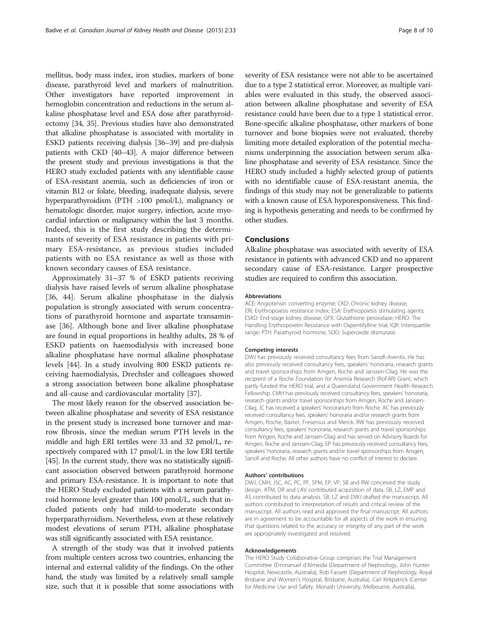mellitus, body mass index, iron studies, markers of bone disease, parathyroid level and markers of malnutrition. Other investigators have reported improvement in hemoglobin concentration and reductions in the serum alkaline phosphatase level and ESA dose after parathyroidectomy [\[34](#page-9-0), [35](#page-9-0)]. Previous studies have also demonstrated that alkaline phosphatase is associated with mortality in ESKD patients receiving dialysis [[36](#page-9-0)–[39\]](#page-9-0) and pre-dialysis patients with CKD [[40](#page-9-0)–[43](#page-9-0)]. A major difference between the present study and previous investigations is that the HERO study excluded patients with any identifiable cause of ESA-resistant anemia, such as deficiencies of iron or vitamin B12 or folate, bleeding, inadequate dialysis, severe hyperparathyroidism (PTH >100 pmol/L), malignancy or hematologic disorder, major surgery, infection, acute myocardial infarction or malignancy within the last 3 months. Indeed, this is the first study describing the determinants of severity of ESA resistance in patients with primary ESA-resistance, as previous studies included patients with no ESA resistance as well as those with known secondary causes of ESA resistance.

Approximately 31–37 % of ESKD patients receiving dialysis have raised levels of serum alkaline phosphatase [[36, 44](#page-9-0)]. Serum alkaline phosphatase in the dialysis population is strongly associated with serum concentrations of parathyroid hormone and aspartate transaminase [[36\]](#page-9-0). Although bone and liver alkaline phosphatase are found in equal proportions in healthy adults, 28 % of ESKD patients on haemodialysis with increased bone alkaline phosphatase have normal alkaline phosphatase levels [\[44](#page-9-0)]. In a study involving 800 ESKD patients receiving haemodialysis, Drechsler and colleagues showed a strong association between bone alkaline phosphatase and all-cause and cardiovascular mortality [[37\]](#page-9-0).

The most likely reason for the observed association between alkaline phosphatase and severity of ESA resistance in the present study is increased bone turnover and marrow fibrosis, since the median serum PTH levels in the middle and high ERI tertiles were 33 and 32 pmol/L, respectively compared with 17 pmol/L in the low ERI tertile [[45](#page-9-0)]. In the current study, there was no statistically significant association observed between parathyroid hormone and primary ESA-resistance. It is important to note that the HERO Study excluded patients with a serum parathyroid hormone level greater than 100 pmol/L, such that included patients only had mild-to-moderate secondary hyperparathyroidism. Nevertheless, even at these relatively modest elevations of serum PTH, alkaline phosphatase was still significantly associated with ESA resistance.

A strength of the study was that it involved patients from multiple centers across two countries, enhancing the internal and external validity of the findings. On the other hand, the study was limited by a relatively small sample size, such that it is possible that some associations with severity of ESA resistance were not able to be ascertained due to a type 2 statistical error. Moreover, as multiple variables were evaluated in this study, the observed association between alkaline phosphatase and severity of ESA resistance could have been due to a type 1 statistical error. Bone-specific alkaline phosphatase, other markers of bone turnover and bone biopsies were not evaluated, thereby limiting more detailed exploration of the potential mechanisms underpinning the association between serum alkaline phosphatase and severity of ESA resistance. Since the HERO study included a highly selected group of patients with no identifiable cause of ESA-resistant anemia, the findings of this study may not be generalizable to patients with a known cause of ESA hyporesponsiveness. This finding is hypothesis generating and needs to be confirmed by other studies.

# Conclusions

Alkaline phosphatase was associated with severity of ESA resistance in patients with advanced CKD and no apparent secondary cause of ESA-resistance. Larger prospective studies are required to confirm this association.

#### Abbreviations

ACE: Angiotensin converting enzyme; CKD: Chronic kidney disease; ERI: Erythropoiesis resistance index; ESA: Erythropoiesis stimulating agents; ESKD: End-stage kidney disease; GPX: Glutathione peroxidase; HERO: The Handling Erythropoietin Resistance with Oxpentifylline trial; IQR: Interquartile range; PTH: Parathyroid hormone; SOD: Superoxide dismutase.

#### Competing interests

DWJ has previously received consultancy fees from Sanofi-Aventis. He has also previously received consultancy fees, speakers' honoraria, research grants and travel sponsorships from Amgen, Roche and Janssen-Cilag. He was the recipient of a Roche Foundation for Anemia Research (RoFAR) Grant, which partly funded the HERO trial, and a Queensland Government Health Research Fellowship. CMH has previously received consultancy fees, speakers' honoraria, research grants and/or travel sponsorships from Amgen, Roche and Janssen-Cilag. JC has received a speakers' honorarium from Roche. AC has previously received consultancy fees, speakers' honoraria and/or research grants from Amgen, Roche, Baxter, Fresenius and Merck. RW has previously received consultancy fees, speakers' honoraria, research grants and travel sponsorships from Amgen, Roche and Janssen-Cilag and has served on Advisory Boards for Amgen, Roche and Janssen-Cilag. EP has previously received consultancy fees, speakers' honoraria, research grants and/or travel sponsorships from Amgen, Sanofi and Roche. All other authors have no conflict of interest to declare.

#### Authors' contributions

DWJ, CMH, JSC, AC, PC, PF, SPM, EP, VP, SB and RW conceived the study design. ATM, DR and LAV contributed acquisition of data. SB, LZ, EMP and AS contributed to data analysis. SB, LZ and DWJ drafted the manuscript. All authors contributed to interpretation of results and critical review of the manuscript. All authors read and approved the final manuscript. All authors are in agreement to be accountable for all aspects of the work in ensuring that questions related to the accuracy or integrity of any part of the work are appropriately investigated and resolved.

#### Acknowledgements

The HERO Study Collaborative Group comprises the Trial Management Committee (Emmanuel d'Almeida (Department of Nephrology, John Hunter Hospital, Newcastle, Australia), Rob Fassett (Department of Nephrology, Royal Brisbane and Women's Hospital, Brisbane, Australia), Carl Kirkpatrick (Center for Medicine Use and Safety, Monash University, Melbourne, Australia),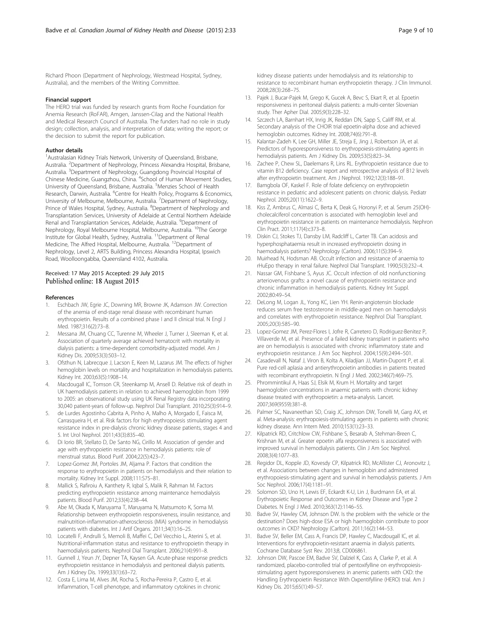<span id="page-8-0"></span>Richard Phoon (Department of Nephrology, Westmead Hospital, Sydney, Australia), and the members of the Writing Committee.

#### Financial support

The HERO trial was funded by research grants from Roche Foundation for Anemia Research (RoFAR), Amgen, Janssen-Cilag and the National Health and Medical Research Council of Australia. The funders had no role in study design; collection, analysis, and interpretation of data; writing the report; or the decision to submit the report for publication.

#### Author details

<sup>1</sup> Australasian Kidney Trials Network, University of Queensland, Brisbane, Australia. <sup>2</sup>Department of Nephrology, Princess Alexandra Hospital, Brisbane, Australia. <sup>3</sup>Department of Nephrology, Guangdong Provincial Hospital of Chinese Medicine, Guangzhou, China. <sup>4</sup>School of Human Movement Studies, University of Queensland, Brisbane, Australia. <sup>5</sup>Menzies School of Health Research, Darwin, Australia. <sup>6</sup>Centre for Health Policy, Programs & Economics, University of Melbourne, Melbourne, Australia. <sup>7</sup>Department of Nephrology, Prince of Wales Hospital, Sydney, Australia. <sup>8</sup>Department of Nephrology and Transplantation Services, University of Adelaide at Central Northern Adelaide Renal and Transplantation Services, Adelaide, Australia. <sup>9</sup>Department of Nephrology, Royal Melbourne Hospital, Melbourne, Australia. <sup>10</sup>The George Institute for Global Health, Sydney, Australia. 11Department of Renal Medicine, The Alfred Hospital, Melbourne, Australia. 12Department of Nephrology, Level 2, ARTS Building, Princess Alexandra Hospital, Ipswich Road, Woolloongabba, Queensland 4102, Australia.

#### Received: 17 May 2015 Accepted: 29 July 2015 Published online: 18 August 2015

#### References

- 1. Eschbach JW, Egrie JC, Downing MR, Browne JK, Adamson JW. Correction of the anemia of end-stage renal disease with recombinant human erythropoietin. Results of a combined phase I and II clinical trial. N Engl J Med. 1987;316(2):73–8.
- 2. Messana JM, Chuang CC, Turenne M, Wheeler J, Turner J, Sleeman K, et al. Association of quarterly average achieved hematocrit with mortality in dialysis patients: a time-dependent comorbidity-adjusted model. Am J Kidney Dis. 2009;53(3):503–12.
- 3. Ofsthun N, Labrecque J, Lacson E, Keen M, Lazarus JM. The effects of higher hemoglobin levels on mortality and hospitalization in hemodialysis patients. Kidney Int. 2003;63(5):1908–14.
- 4. Macdougall IC, Tomson CR, Steenkamp M, Ansell D. Relative risk of death in UK haemodialysis patients in relation to achieved haemoglobin from 1999 to 2005: an observational study using UK Renal Registry data incorporating 30,040 patient-years of follow-up. Nephrol Dial Transplant. 2010;25(3):914–9.
- 5. de Lurdes Agostinho Cabrita A, Pinho A, Malho A, Morgado E, Faisca M, Carrasqueira H, et al. Risk factors for high erythropoiesis stimulating agent resistance index in pre-dialysis chronic kidney disease patients, stages 4 and 5. Int Urol Nephrol. 2011;43(3):835–40.
- 6. Di Iorio BR, Stellato D, De Santo NG, Cirillo M. Association of gender and age with erythropoietin resistance in hemodialysis patients: role of menstrual status. Blood Purif. 2004;22(5):423–7.
- 7. Lopez-Gomez JM, Portoles JM, Aljama P. Factors that condition the response to erythropoietin in patients on hemodialysis and their relation to mortality. Kidney Int Suppl. 2008;111:S75–81.
- 8. Mallick S, Rafiroiu A, Kanthety R, Iqbal S, Malik R, Rahman M. Factors predicting erythropoietin resistance among maintenance hemodialysis patients. Blood Purif. 2012;33(4):238–44.
- 9. Abe M, Okada K, Maruyama T, Maruyama N, Matsumoto K, Soma M. Relationship between erythropoietin responsiveness, insulin resistance, and malnutrition-inflammation-atherosclerosis (MIA) syndrome in hemodialysis patients with diabetes. Int J Artif Organs. 2011;34(1):16–25.
- 10. Locatelli F, Andrulli S, Memoli B, Maffei C, Del Vecchio L, Aterini S, et al. Nutritional-inflammation status and resistance to erythropoietin therapy in haemodialysis patients. Nephrol Dial Transplant. 2006;21(4):991–8.
- 11. Gunnell J, Yeun JY, Depner TA, Kaysen GA. Acute-phase response predicts erythropoietin resistance in hemodialysis and peritoneal dialysis patients. Am J Kidney Dis. 1999;33(1):63–72.
- 12. Costa E, Lima M, Alves JM, Rocha S, Rocha-Pereira P, Castro E, et al. Inflammation, T-cell phenotype, and inflammatory cytokines in chronic

kidney disease patients under hemodialysis and its relationship to resistance to recombinant human erythropoietin therapy. J Clin Immunol. 2008;28(3):268–75.

- 13. Pajek J, Bucar-Pajek M, Grego K, Gucek A, Bevc S, Ekart R, et al. Epoetin responsiveness in peritoneal dialysis patients: a multi-center Slovenian study. Ther Apher Dial. 2005;9(3):228–32.
- 14. Szczech LA, Barnhart HX, Inrig JK, Reddan DN, Sapp S, Califf RM, et al. Secondary analysis of the CHOIR trial epoetin-alpha dose and achieved hemoglobin outcomes. Kidney Int. 2008;74(6):791–8.
- 15. Kalantar-Zadeh K, Lee GH, Miller JE, Streja E, Jing J, Robertson JA, et al. Predictors of hyporesponsiveness to erythropoiesis-stimulating agents in hemodialysis patients. Am J Kidney Dis. 2009;53(5):823–34.
- 16. Zachee P, Chew SL, Daelemans R, Lins RL. Erythropoietin resistance due to vitamin B12 deficiency. Case report and retrospective analysis of B12 levels after erythropoietin treatment. Am J Nephrol. 1992;12(3):188–91.
- 17. Bamgbola OF, Kaskel F. Role of folate deficiency on erythropoietin resistance in pediatric and adolescent patients on chronic dialysis. Pediatr Nephrol. 2005;20(11):1622–9.
- 18. Kiss Z, Ambrus C, Almasi C, Berta K, Deak G, Horonyi P, et al. Serum 25(OH) cholecalciferol concentration is associated with hemoglobin level and erythropoietin resistance in patients on maintenance hemodialysis. Nephron Clin Pract. 2011;117(4):c373–8.
- 19. Diskin CJ, Stokes TJ, Dansby LM, Radcliff L, Carter TB. Can acidosis and hyperphosphataemia result in increased erythropoietin dosing in haemodialysis patients? Nephrology (Carlton). 2006;11(5):394–9.
- 20. Muirhead N, Hodsman AB. Occult infection and resistance of anaemia to rHuEpo therapy in renal failure. Nephrol Dial Transplant. 1990;5(3):232–4.
- 21. Nassar GM, Fishbane S, Ayus JC. Occult infection of old nonfunctioning arteriovenous grafts: a novel cause of erythropoietin resistance and chronic inflammation in hemodialysis patients. Kidney Int Suppl. 2002;80:49–54.
- 22. DeLong M, Logan JL, Yong KC, Lien YH. Renin-angiotensin blockade reduces serum free testosterone in middle-aged men on haemodialysis and correlates with erythropoietin resistance. Nephrol Dial Transplant. 2005;20(3):585–90.
- 23. Lopez-Gomez JM, Perez-Flores I, Jofre R, Carretero D, Rodriguez-Benitez P, Villaverde M, et al. Presence of a failed kidney transplant in patients who are on hemodialysis is associated with chronic inflammatory state and erythropoietin resistance. J Am Soc Nephrol. 2004;15(9):2494–501.
- 24. Casadevall N, Nataf J, Viron B, Kolta A, Kiladjian JJ, Martin-Dupont P, et al. Pure red-cell aplasia and antierythropoietin antibodies in patients treated with recombinant erythropoietin. N Engl J Med. 2002;346(7):469–75.
- 25. Phrommintikul A, Haas SJ, Elsik M, Krum H. Mortality and target haemoglobin concentrations in anaemic patients with chronic kidney disease treated with erythropoietin: a meta-analysis. Lancet. 2007;369(9559):381–8.
- 26. Palmer SC, Navaneethan SD, Craig JC, Johnson DW, Tonelli M, Garg AX, et al. Meta-analysis: erythropoiesis-stimulating agents in patients with chronic kidney disease. Ann Intern Med. 2010;153(1):23–33.
- 27. Kilpatrick RD, Critchlow CW, Fishbane S, Besarab A, Stehman-Breen C, Krishnan M, et al. Greater epoetin alfa responsiveness is associated with improved survival in hemodialysis patients. Clin J Am Soc Nephrol. 2008;3(4):1077–83.
- 28. Regidor DL, Kopple JD, Kovesdy CP, Kilpatrick RD, McAllister CJ, Aronovitz J, et al. Associations between changes in hemoglobin and administered erythropoiesis-stimulating agent and survival in hemodialysis patients. J Am Soc Nephrol. 2006;17(4):1181–91.
- 29. Solomon SD, Uno H, Lewis EF, Eckardt K-U, Lin J, Burdmann EA, et al. Erythropoietic Response and Outcomes in Kidney Disease and Type 2 Diabetes. N Engl J Med. 2010;363(12):1146–55.
- 30. Badve SV, Hawley CM, Johnson DW. Is the problem with the vehicle or the destination? Does high-dose ESA or high haemoglobin contribute to poor outcomes in CKD? Nephrology (Carlton). 2011;16(2):144–53.
- 31. Badve SV, Beller EM, Cass A, Francis DP, Hawley C, Macdougall IC, et al. Interventions for erythropoietin-resistant anaemia in dialysis patients. Cochrane Database Syst Rev. 2013;8, CD006861.
- 32. Johnson DW, Pascoe EM, Badve SV, Dalziel K, Cass A, Clarke P, et al. A randomized, placebo-controlled trial of pentoxifylline on erythropoiesisstimulating agent hyporesponsiveness in anemic patients with CKD: the Handling Erythropoietin Resistance With Oxpentifylline (HERO) trial. Am J Kidney Dis. 2015;65(1):49–57.